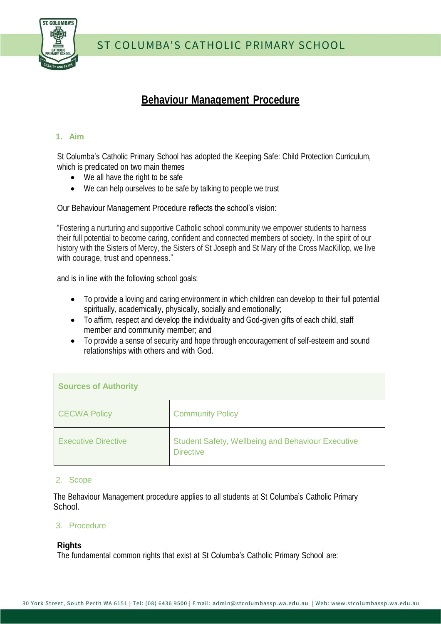

ST COLUMBA'S CATHOLIC PRIMARY SCHOOL

# **Behaviour Management Procedure**

#### **1. Aim**

St Columba's Catholic Primary School has adopted the Keeping Safe: Child Protection Curriculum, which is predicated on two main themes

- We all have the right to be safe
- We can help ourselves to be safe by talking to people we trust

Our Behaviour Management Procedure reflects the school's vision:

"Fostering a nurturing and supportive Catholic school community we empower students to harness their full potential to become caring, confident and connected members of society. In the spirit of our history with the Sisters of Mercy, the Sisters of St Joseph and St Mary of the Cross MacKillop, we live with courage, trust and openness."

and is in line with the following school goals:

- To provide a loving and caring environment in which children can develop to their full potential spiritually, academically, physically, socially and emotionally;
- To affirm, respect and develop the individuality and God-given gifts of each child, staff member and community member; and
- To provide a sense of security and hope through encouragement of self-esteem and sound relationships with others and with God.

| <b>Sources of Authority</b> |                                                                              |  |
|-----------------------------|------------------------------------------------------------------------------|--|
| <b>CECWA Policy</b>         | <b>Community Policy</b>                                                      |  |
| <b>Executive Directive</b>  | <b>Student Safety, Wellbeing and Behaviour Executive</b><br><b>Directive</b> |  |

#### 2. Scope

The Behaviour Management procedure applies to all students at St Columba's Catholic Primary School.

#### 3. Procedure

#### **Rights**

The fundamental common rights that exist at St Columba's Catholic Primary School are: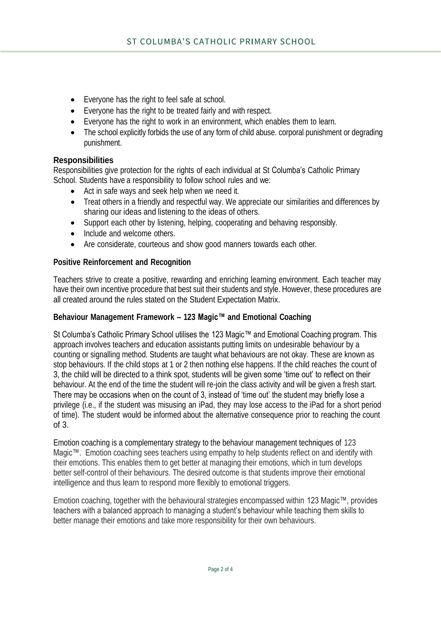- Everyone has the right to feel safe at school.
- Everyone has the right to be treated fairly and with respect.
- Everyone has the right to work in an environment, which enables them to learn.
- The school explicitly forbids the use of any form of child abuse. corporal punishment or degrading punishment.

#### **Responsibilities**

Responsibilities give protection for the rights of each individual at St Columba's Catholic Primary School. Students have a responsibility to follow school rules and we:

- Act in safe ways and seek help when we need it.
- Treat others in a friendly and respectful way. We appreciate our similarities and differences by sharing our ideas and listening to the ideas of others.
- Support each other by listening, helping, cooperating and behaving responsibly.
- Include and welcome others.
- Are considerate, courteous and show good manners towards each other.

#### **Positive Reinforcement and Recognition**

Teachers strive to create a positive, rewarding and enriching learning environment. Each teacher may have their own incentive procedure that best suit their students and style. However, these procedures are all created around the rules stated on the Student Expectation Matrix.

### **Behaviour Management Framework – 123 Magic™ and Emotional Coaching**

St Columba's Catholic Primary School utilises the 123 Magic™ and Emotional Coaching program. This approach involves teachers and education assistants putting limits on undesirable behaviour by a counting or signalling method. Students are taught what behaviours are not okay. These are known as stop behaviours. If the child stops at 1 or 2 then nothing else happens. If the child reaches the count of 3, the child will be directed to a think spot, students will be given some 'time out' to reflect on their behaviour. At the end of the time the student will re-join the class activity and will be given a fresh start. There may be occasions when on the count of 3, instead of 'time out' the student may briefly lose a privilege (i.e., if the student was misusing an iPad, they may lose access to the iPad for a short period of time). The student would be informed about the alternative consequence prior to reaching the count of 3.

Emotion coaching is a complementary strategy to the behaviour management techniques of 123 Magic™. Emotion coaching sees teachers using empathy to help students reflect on and identify with their emotions. This enables them to get better at managing their emotions, which in turn develops better self-control of their behaviours. The desired outcome is that students improve their emotional intelligence and thus learn to respond more flexibly to emotional triggers.

Emotion coaching, together with the behavioural strategies encompassed within 123 Magic™, provides teachers with a balanced approach to managing a student's behaviour while teaching them skills to better manage their emotions and take more responsibility for their own behaviours.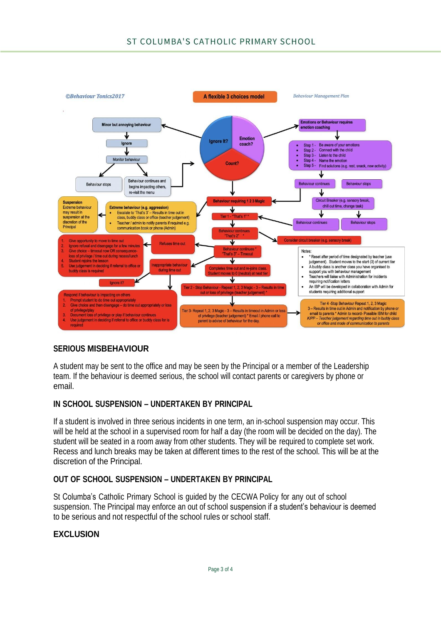

# **SERIOUS MISBEHAVIOUR**

A student may be sent to the office and may be seen by the Principal or a member of the Leadership team. If the behaviour is deemed serious, the school will contact parents or caregivers by phone or email.

# **IN SCHOOL SUSPENSION – UNDERTAKEN BY PRINCIPAL**

If a student is involved in three serious incidents in one term, an in-school suspension may occur. This will be held at the school in a supervised room for half a day (the room will be decided on the day). The student will be seated in a room away from other students. They will be required to complete set work. Recess and lunch breaks may be taken at different times to the rest of the school. This will be at the discretion of the Principal.

# **OUT OF SCHOOL SUSPENSION – UNDERTAKEN BY PRINCIPAL**

St Columba's Catholic Primary School is guided by the CECWA Policy for any out of school suspension. The Principal may enforce an out of school suspension if a student's behaviour is deemed to be serious and not respectful of the school rules or school staff.

# **EXCLUSION**